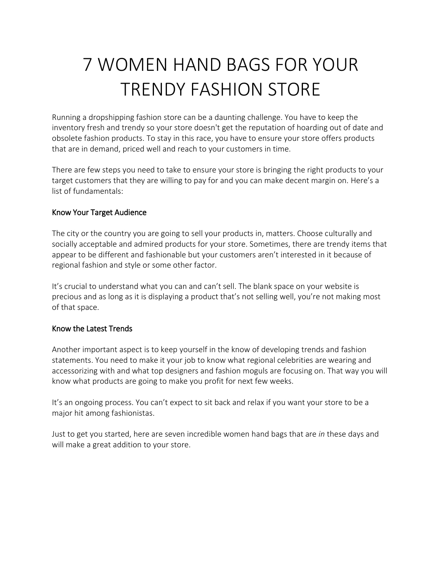## 7 WOMEN HAND BAGS FOR YOUR TRENDY FASHION STORE

Running a dropshipping fashion store can be a daunting challenge. You have to keep the inventory fresh and trendy so your store doesn't get the reputation of hoarding out of date and obsolete fashion products. To stay in this race, you have to ensure your store offers products that are in demand, priced well and reach to your customers in time.

There are few steps you need to take to ensure your store is bringing the right products to your target customers that they are willing to pay for and you can make decent margin on. Here's a list of fundamentals:

## Know Your Target Audience

The city or the country you are going to sell your products in, matters. Choose culturally and socially acceptable and admired products for your store. Sometimes, there are trendy items that appear to be different and fashionable but your customers aren't interested in it because of regional fashion and style or some other factor.

It's crucial to understand what you can and can't sell. The blank space on your website is precious and as long as it is displaying a product that's not selling well, you're not making most of that space.

## Know the Latest Trends

Another important aspect is to keep yourself in the know of developing trends and fashion statements. You need to make it your job to know what regional celebrities are wearing and accessorizing with and what top designers and fashion moguls are focusing on. That way you will know what products are going to make you profit for next few weeks.

It's an ongoing process. You can't expect to sit back and relax if you want your store to be a major hit among fashionistas.

Just to get you started, here are seven incredible women hand bags that are *in* these days and will make a great addition to your store.